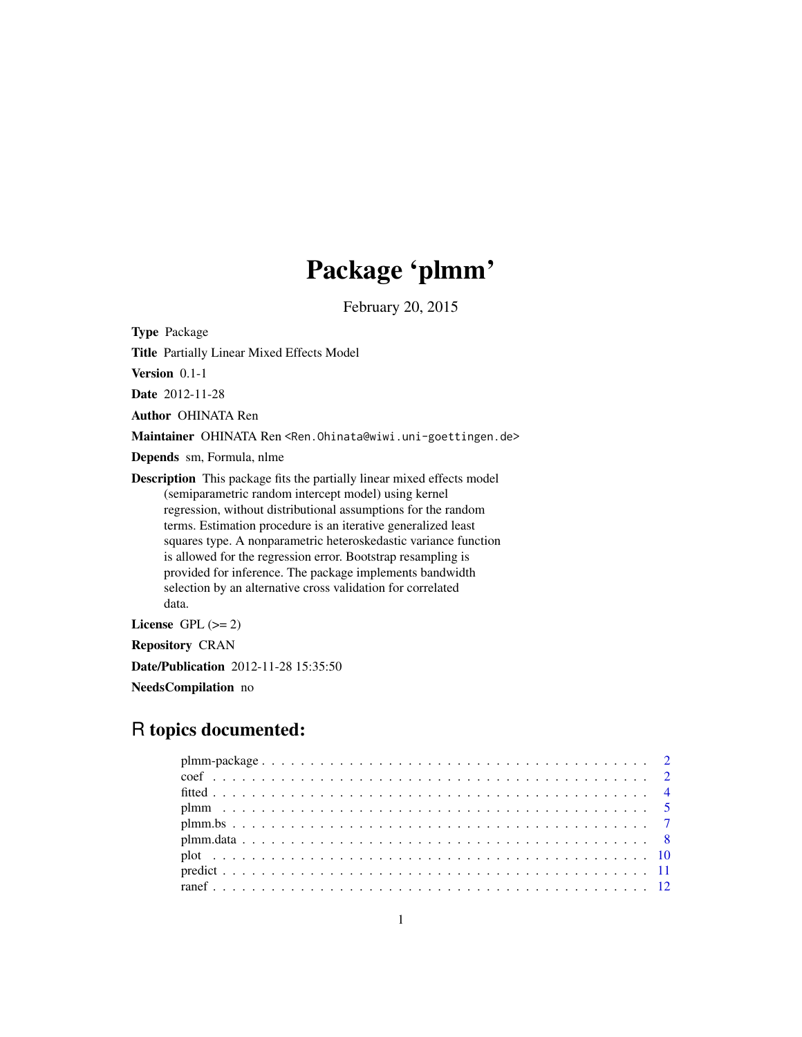# Package 'plmm'

February 20, 2015

<span id="page-0-0"></span>Type Package

Title Partially Linear Mixed Effects Model

Version 0.1-1

Date 2012-11-28

Author OHINATA Ren

Maintainer OHINATA Ren <Ren.Ohinata@wiwi.uni-goettingen.de>

Depends sm, Formula, nlme

Description This package fits the partially linear mixed effects model (semiparametric random intercept model) using kernel regression, without distributional assumptions for the random terms. Estimation procedure is an iterative generalized least squares type. A nonparametric heteroskedastic variance function is allowed for the regression error. Bootstrap resampling is provided for inference. The package implements bandwidth selection by an alternative cross validation for correlated data.

License GPL  $(>= 2)$ 

Repository CRAN

Date/Publication 2012-11-28 15:35:50

NeedsCompilation no

# R topics documented: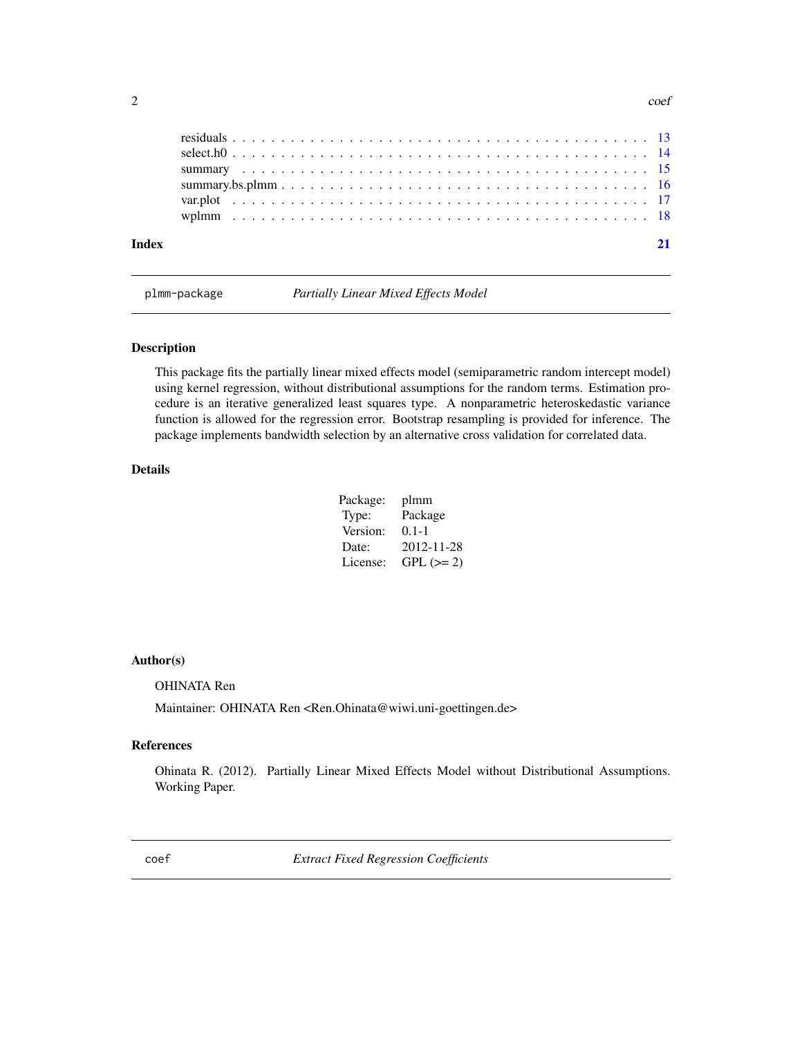<span id="page-1-0"></span>

plmm-package *Partially Linear Mixed Effects Model*

# Description

This package fits the partially linear mixed effects model (semiparametric random intercept model) using kernel regression, without distributional assumptions for the random terms. Estimation procedure is an iterative generalized least squares type. A nonparametric heteroskedastic variance function is allowed for the regression error. Bootstrap resampling is provided for inference. The package implements bandwidth selection by an alternative cross validation for correlated data.

# Details

| Package: | plmm        |
|----------|-------------|
| Type:    | Package     |
| Version: | $0.1 - 1$   |
| Date:    | 2012-11-28  |
| License: | $GPL (= 2)$ |

#### Author(s)

OHINATA Ren

Maintainer: OHINATA Ren <Ren.Ohinata@wiwi.uni-goettingen.de>

#### References

Ohinata R. (2012). Partially Linear Mixed Effects Model without Distributional Assumptions. Working Paper.

coef *Extract Fixed Regression Coefficients*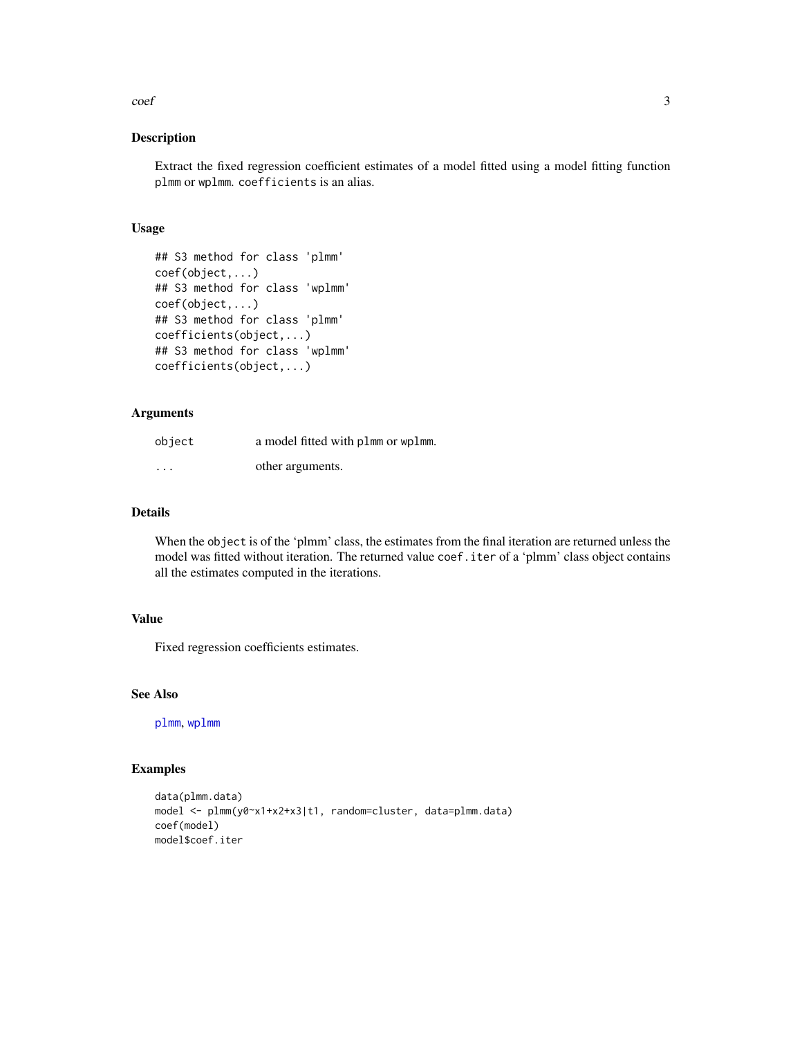#### <span id="page-2-0"></span> $\text{coeff}$  3

# Description

Extract the fixed regression coefficient estimates of a model fitted using a model fitting function plmm or wplmm. coefficients is an alias.

#### Usage

```
## S3 method for class 'plmm'
coef(object,...)
## S3 method for class 'wplmm'
coef(object,...)
## S3 method for class 'plmm'
coefficients(object,...)
## S3 method for class 'wplmm'
coefficients(object,...)
```
# Arguments

| object  | a model fitted with plmm or wplmm. |
|---------|------------------------------------|
| $\cdot$ | other arguments.                   |

# Details

When the object is of the 'plmm' class, the estimates from the final iteration are returned unless the model was fitted without iteration. The returned value coef.iter of a 'plmm' class object contains all the estimates computed in the iterations.

# Value

Fixed regression coefficients estimates.

# See Also

[plmm](#page-4-1), [wplmm](#page-17-1)

```
data(plmm.data)
model <- plmm(y0~x1+x2+x3|t1, random=cluster, data=plmm.data)
coef(model)
model$coef.iter
```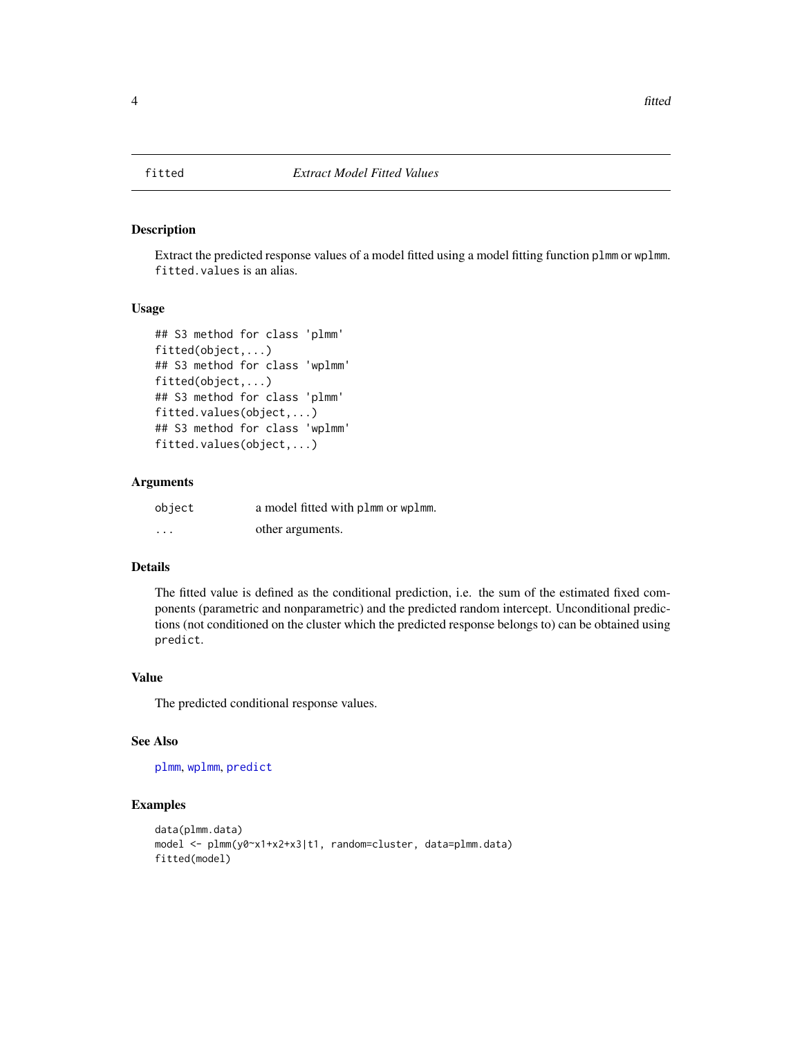<span id="page-3-0"></span>

Extract the predicted response values of a model fitted using a model fitting function plmm or wplmm. fitted.values is an alias.

# Usage

```
## S3 method for class 'plmm'
fitted(object,...)
## S3 method for class 'wplmm'
fitted(object,...)
## S3 method for class 'plmm'
fitted.values(object,...)
## S3 method for class 'wplmm'
fitted.values(object,...)
```
# Arguments

| object   | a model fitted with plmm or wplmm. |
|----------|------------------------------------|
| $\cdots$ | other arguments.                   |

#### Details

The fitted value is defined as the conditional prediction, i.e. the sum of the estimated fixed components (parametric and nonparametric) and the predicted random intercept. Unconditional predictions (not conditioned on the cluster which the predicted response belongs to) can be obtained using predict.

# Value

The predicted conditional response values.

# See Also

[plmm](#page-4-1), [wplmm](#page-17-1), [predict](#page-10-1)

```
data(plmm.data)
model <- plmm(y0~x1+x2+x3|t1, random=cluster, data=plmm.data)
fitted(model)
```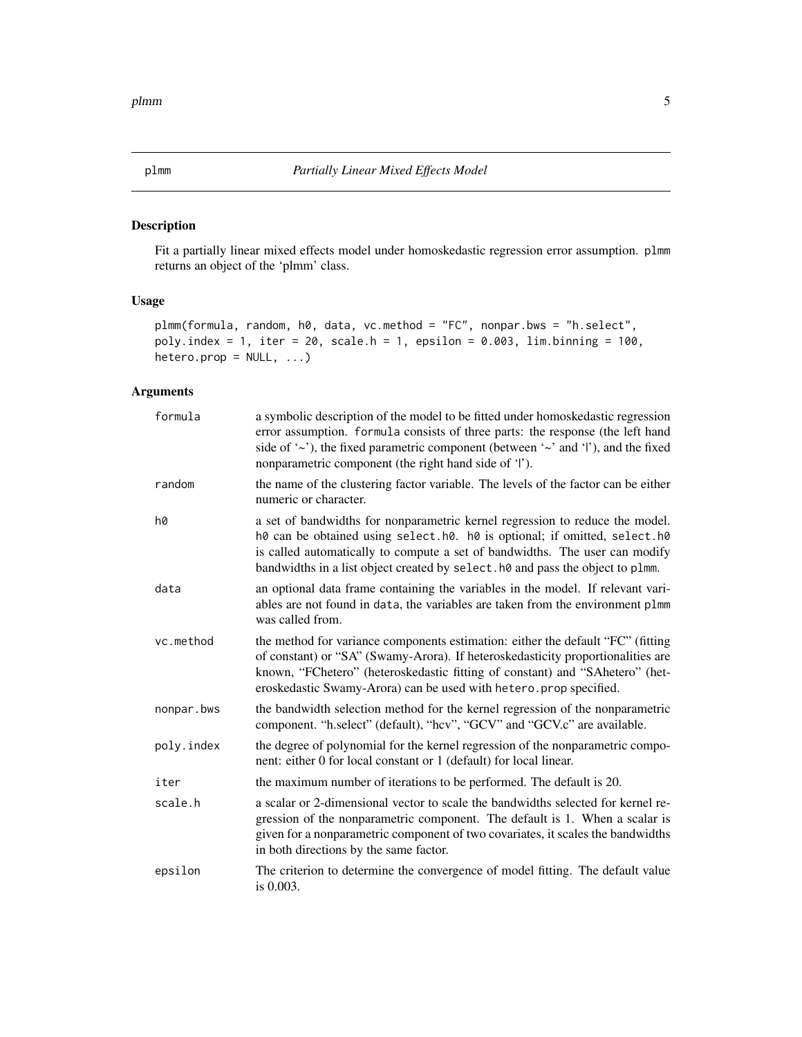Fit a partially linear mixed effects model under homoskedastic regression error assumption. plmm returns an object of the 'plmm' class.

# Usage

```
plmm(formula, random, h0, data, vc.method = "FC", nonpar.bws = "h.select",
poly.index = 1, iter = 20, scale.h = 1, epsilon = 0.003, lim.binning = 100,
hetero.prop = NULL, ...)
```
# Arguments

| formula    | a symbolic description of the model to be fitted under homoskedastic regression<br>error assumption. formula consists of three parts: the response (the left hand<br>side of '~'), the fixed parametric component (between '~' and 'l'), and the fixed<br>nonparametric component (the right hand side of 'l').            |
|------------|----------------------------------------------------------------------------------------------------------------------------------------------------------------------------------------------------------------------------------------------------------------------------------------------------------------------------|
| random     | the name of the clustering factor variable. The levels of the factor can be either<br>numeric or character.                                                                                                                                                                                                                |
| h0         | a set of bandwidths for nonparametric kernel regression to reduce the model.<br>h0 can be obtained using select.h0. h0 is optional; if omitted, select.h0<br>is called automatically to compute a set of bandwidths. The user can modify<br>bandwidths in a list object created by select. h0 and pass the object to plmm. |
| data       | an optional data frame containing the variables in the model. If relevant vari-<br>ables are not found in data, the variables are taken from the environment plmm<br>was called from.                                                                                                                                      |
| vc.method  | the method for variance components estimation: either the default "FC" (fitting<br>of constant) or "SA" (Swamy-Arora). If heteroskedasticity proportionalities are<br>known, "FChetero" (heteroskedastic fitting of constant) and "SAhetero" (het-<br>eroskedastic Swamy-Arora) can be used with hetero. prop specified.   |
| nonpar.bws | the bandwidth selection method for the kernel regression of the nonparametric<br>component. "h.select" (default), "hcv", "GCV" and "GCV.c" are available.                                                                                                                                                                  |
| poly.index | the degree of polynomial for the kernel regression of the nonparametric compo-<br>nent: either 0 for local constant or 1 (default) for local linear.                                                                                                                                                                       |
| iter       | the maximum number of iterations to be performed. The default is 20.                                                                                                                                                                                                                                                       |
| scale.h    | a scalar or 2-dimensional vector to scale the bandwidths selected for kernel re-<br>gression of the nonparametric component. The default is 1. When a scalar is<br>given for a nonparametric component of two covariates, it scales the bandwidths<br>in both directions by the same factor.                               |
| epsilon    | The criterion to determine the convergence of model fitting. The default value<br>is 0.003.                                                                                                                                                                                                                                |

<span id="page-4-1"></span><span id="page-4-0"></span>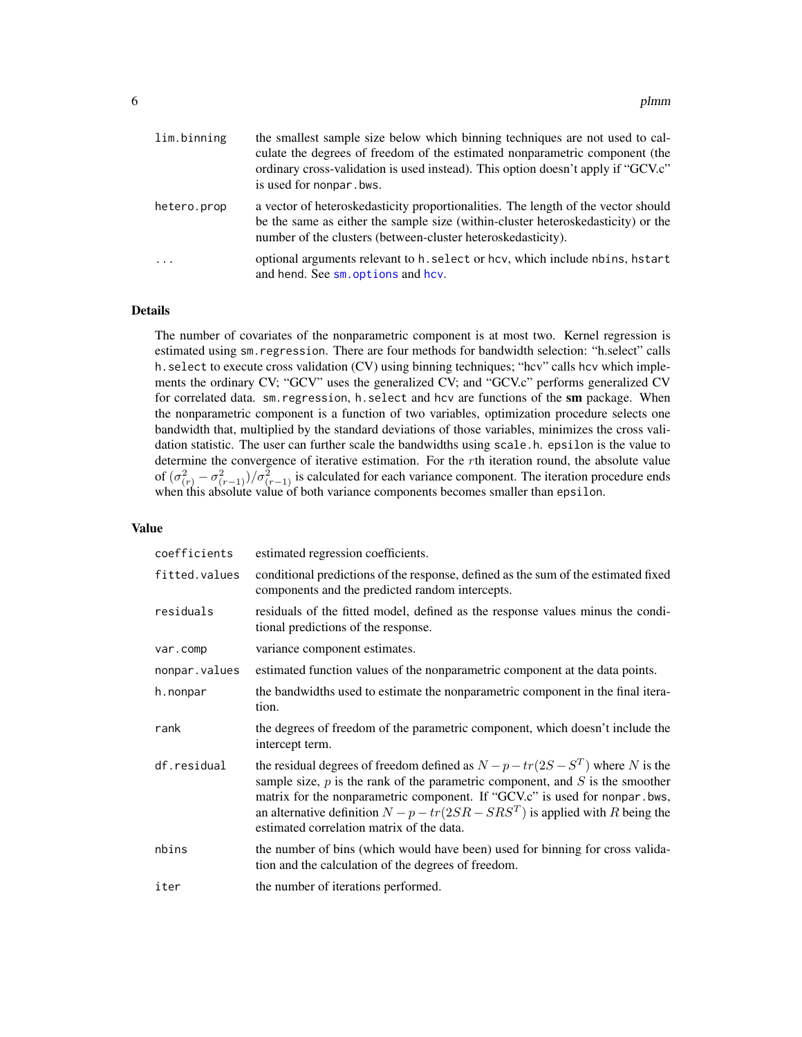<span id="page-5-0"></span>

| lim.binning             | the smallest sample size below which binning techniques are not used to cal-<br>culate the degrees of freedom of the estimated nonparametric component (the<br>ordinary cross-validation is used instead). This option doesn't apply if "GCV.c"<br>is used for nonpar. bws. |
|-------------------------|-----------------------------------------------------------------------------------------------------------------------------------------------------------------------------------------------------------------------------------------------------------------------------|
| hetero.prop             | a vector of heteroskedasticity proportionalities. The length of the vector should<br>be the same as either the sample size (within-cluster heteroskedasticity) or the<br>number of the clusters (between-cluster heteroskedasticity).                                       |
| $\cdot$ $\cdot$ $\cdot$ | optional arguments relevant to h. select or hcv, which include nbins, hstart<br>and hend. See sm. options and hcv.                                                                                                                                                          |

# Details

The number of covariates of the nonparametric component is at most two. Kernel regression is estimated using sm.regression. There are four methods for bandwidth selection: "h.select" calls h.select to execute cross validation (CV) using binning techniques; "hcv" calls hcv which implements the ordinary CV; "GCV" uses the generalized CV; and "GCV.c" performs generalized CV for correlated data. sm. regression, h. select and hcv are functions of the sm package. When the nonparametric component is a function of two variables, optimization procedure selects one bandwidth that, multiplied by the standard deviations of those variables, minimizes the cross validation statistic. The user can further scale the bandwidths using scale.h. epsilon is the value to determine the convergence of iterative estimation. For the rth iteration round, the absolute value of  $(\sigma_{(r)}^2 - \sigma_{(r-1)}^2)/\sigma_{(r-1)}^2$  is calculated for each variance component. The iteration procedure ends when this absolute value of both variance components becomes smaller than epsilon.

| coefficients  | estimated regression coefficients.                                                                                                                                                                                                                                                                                                                                                    |
|---------------|---------------------------------------------------------------------------------------------------------------------------------------------------------------------------------------------------------------------------------------------------------------------------------------------------------------------------------------------------------------------------------------|
| fitted.values | conditional predictions of the response, defined as the sum of the estimated fixed<br>components and the predicted random intercepts.                                                                                                                                                                                                                                                 |
| residuals     | residuals of the fitted model, defined as the response values minus the condi-<br>tional predictions of the response.                                                                                                                                                                                                                                                                 |
| var.comp      | variance component estimates.                                                                                                                                                                                                                                                                                                                                                         |
| nonpar.values | estimated function values of the nonparametric component at the data points.                                                                                                                                                                                                                                                                                                          |
| h.nonpar      | the bandwidths used to estimate the nonparametric component in the final itera-<br>tion.                                                                                                                                                                                                                                                                                              |
| rank          | the degrees of freedom of the parametric component, which doesn't include the<br>intercept term.                                                                                                                                                                                                                                                                                      |
| df.residual   | the residual degrees of freedom defined as $N - p - tr(2S - S^T)$ where N is the<br>sample size, $p$ is the rank of the parametric component, and $S$ is the smoother<br>matrix for the nonparametric component. If "GCV.c" is used for nonpar bws,<br>an alternative definition $N - p - tr(2SR - SRS^{T})$ is applied with R being the<br>estimated correlation matrix of the data. |
| nbins         | the number of bins (which would have been) used for binning for cross valida-<br>tion and the calculation of the degrees of freedom.                                                                                                                                                                                                                                                  |
| iter          | the number of iterations performed.                                                                                                                                                                                                                                                                                                                                                   |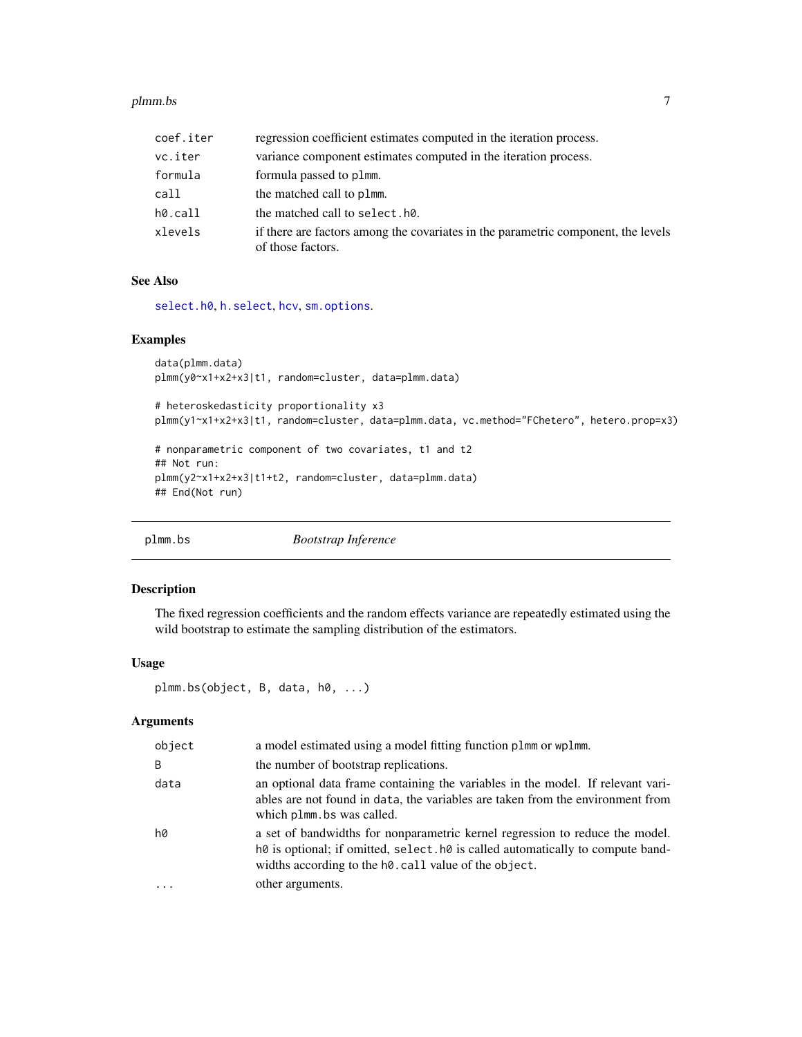#### <span id="page-6-0"></span>plmm.bs  $\sim$  7

| coef.iter | regression coefficient estimates computed in the iteration process.                                    |
|-----------|--------------------------------------------------------------------------------------------------------|
| vc.iter   | variance component estimates computed in the iteration process.                                        |
| formula   | formula passed to plmm.                                                                                |
| call      | the matched call to plmm.                                                                              |
| h0.call   | the matched call to select.h0.                                                                         |
| xlevels   | if there are factors among the covariates in the parametric component, the levels<br>of those factors. |

# See Also

[select.h0](#page-13-1), [h.select](#page-0-0), [hcv](#page-0-0), [sm.options](#page-0-0).

# Examples

```
data(plmm.data)
plmm(y0~x1+x2+x3|t1, random=cluster, data=plmm.data)
# heteroskedasticity proportionality x3
plmm(y1~x1+x2+x3|t1, random=cluster, data=plmm.data, vc.method="FChetero", hetero.prop=x3)
```

```
# nonparametric component of two covariates, t1 and t2
## Not run:
plmm(y2~x1+x2+x3|t1+t2, random=cluster, data=plmm.data)
## End(Not run)
```
plmm.bs *Bootstrap Inference*

#### Description

The fixed regression coefficients and the random effects variance are repeatedly estimated using the wild bootstrap to estimate the sampling distribution of the estimators.

# Usage

```
plmm.bs(object, B, data, h0, ...)
```
# Arguments

| object | a model estimated using a model fitting function plmm or wplmm.                                                                                                                                                                                 |
|--------|-------------------------------------------------------------------------------------------------------------------------------------------------------------------------------------------------------------------------------------------------|
| B      | the number of bootstrap replications.                                                                                                                                                                                                           |
| data   | an optional data frame containing the variables in the model. If relevant vari-<br>ables are not found in data, the variables are taken from the environment from<br>which plmm, bs was called.                                                 |
| hØ     | a set of bandwidths for nonparametric kernel regression to reduce the model.<br>$h\varnothing$ is optional; if omitted, select. $h\varnothing$ is called automatically to compute band-<br>widths according to the h0.call value of the object. |
|        | other arguments.                                                                                                                                                                                                                                |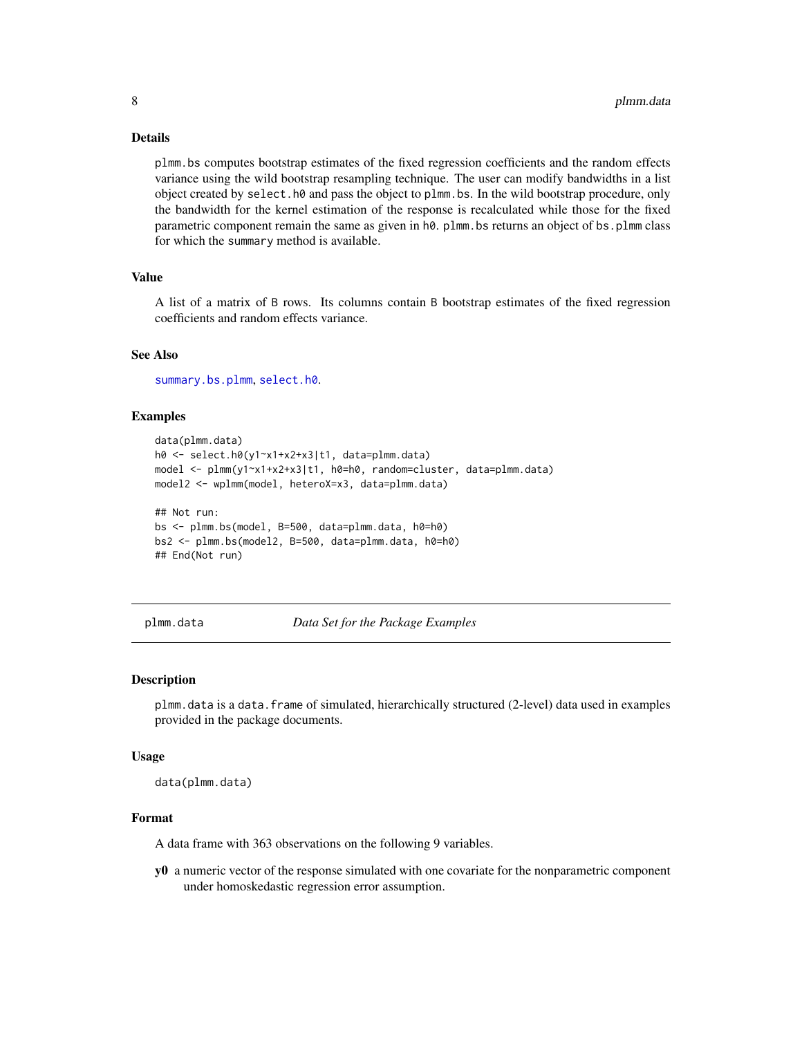### <span id="page-7-0"></span>Details

plmm.bs computes bootstrap estimates of the fixed regression coefficients and the random effects variance using the wild bootstrap resampling technique. The user can modify bandwidths in a list object created by select.h0 and pass the object to plmm.bs. In the wild bootstrap procedure, only the bandwidth for the kernel estimation of the response is recalculated while those for the fixed parametric component remain the same as given in h0. plmm.bs returns an object of bs.plmm class for which the summary method is available.

#### Value

A list of a matrix of B rows. Its columns contain B bootstrap estimates of the fixed regression coefficients and random effects variance.

#### See Also

[summary.bs.plmm](#page-15-1), [select.h0](#page-13-1).

### Examples

```
data(plmm.data)
h0 <- select.h0(y1~x1+x2+x3|t1, data=plmm.data)
model <- plmm(y1~x1+x2+x3|t1, h0=h0, random=cluster, data=plmm.data)
model2 <- wplmm(model, heteroX=x3, data=plmm.data)
```

```
## Not run:
bs <- plmm.bs(model, B=500, data=plmm.data, h0=h0)
bs2 <- plmm.bs(model2, B=500, data=plmm.data, h0=h0)
## End(Not run)
```
plmm.data *Data Set for the Package Examples*

#### **Description**

plmm.data is a data.frame of simulated, hierarchically structured (2-level) data used in examples provided in the package documents.

#### Usage

data(plmm.data)

#### Format

A data frame with 363 observations on the following 9 variables.

y0 a numeric vector of the response simulated with one covariate for the nonparametric component under homoskedastic regression error assumption.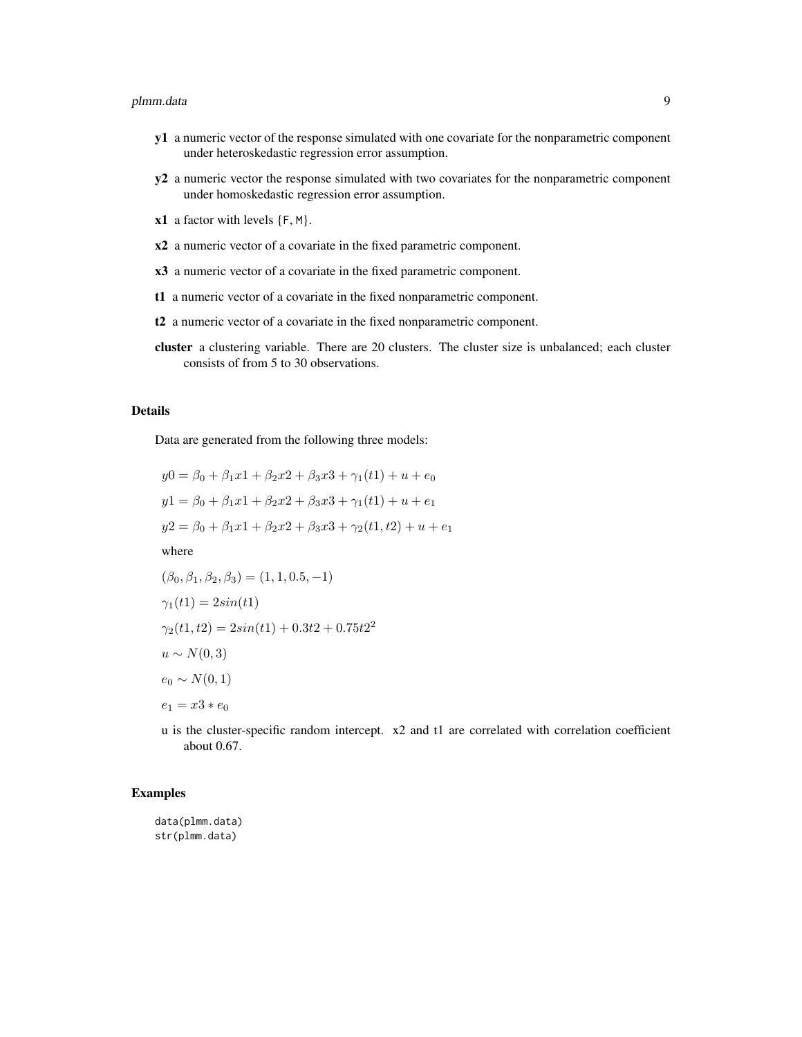#### plmm.data 9

- y1 a numeric vector of the response simulated with one covariate for the nonparametric component under heteroskedastic regression error assumption.
- y2 a numeric vector the response simulated with two covariates for the nonparametric component under homoskedastic regression error assumption.
- $x1$  a factor with levels  $\{F, M\}$ .
- x2 a numeric vector of a covariate in the fixed parametric component.
- x3 a numeric vector of a covariate in the fixed parametric component.
- t1 a numeric vector of a covariate in the fixed nonparametric component.
- t2 a numeric vector of a covariate in the fixed nonparametric component.
- cluster a clustering variable. There are 20 clusters. The cluster size is unbalanced; each cluster consists of from 5 to 30 observations.

#### Details

Data are generated from the following three models:

$$
y0 = \beta_0 + \beta_1 x_1 + \beta_2 x_2 + \beta_3 x_3 + \gamma_1(t_1) + u + e_0
$$
  
\n
$$
y1 = \beta_0 + \beta_1 x_1 + \beta_2 x_2 + \beta_3 x_3 + \gamma_1(t_1) + u + e_1
$$
  
\n
$$
y2 = \beta_0 + \beta_1 x_1 + \beta_2 x_2 + \beta_3 x_3 + \gamma_2(t_1, t_2) + u + e_1
$$
  
\nwhere  
\n
$$
(\beta_0, \beta_1, \beta_2, \beta_3) = (1, 1, 0.5, -1)
$$
  
\n
$$
\gamma_1(t_1) = 2\sin(t_1)
$$
  
\n
$$
\gamma_2(t_1, t_2) = 2\sin(t_1) + 0.3t_2 + 0.75t_2
$$
  
\n
$$
u \sim N(0, 3)
$$
  
\n
$$
e_0 \sim N(0, 1)
$$
  
\n
$$
e_1 = x_3 * e_0
$$

u is the cluster-specific random intercept. x2 and t1 are correlated with correlation coefficient about 0.67.

# Examples

data(plmm.data) str(plmm.data)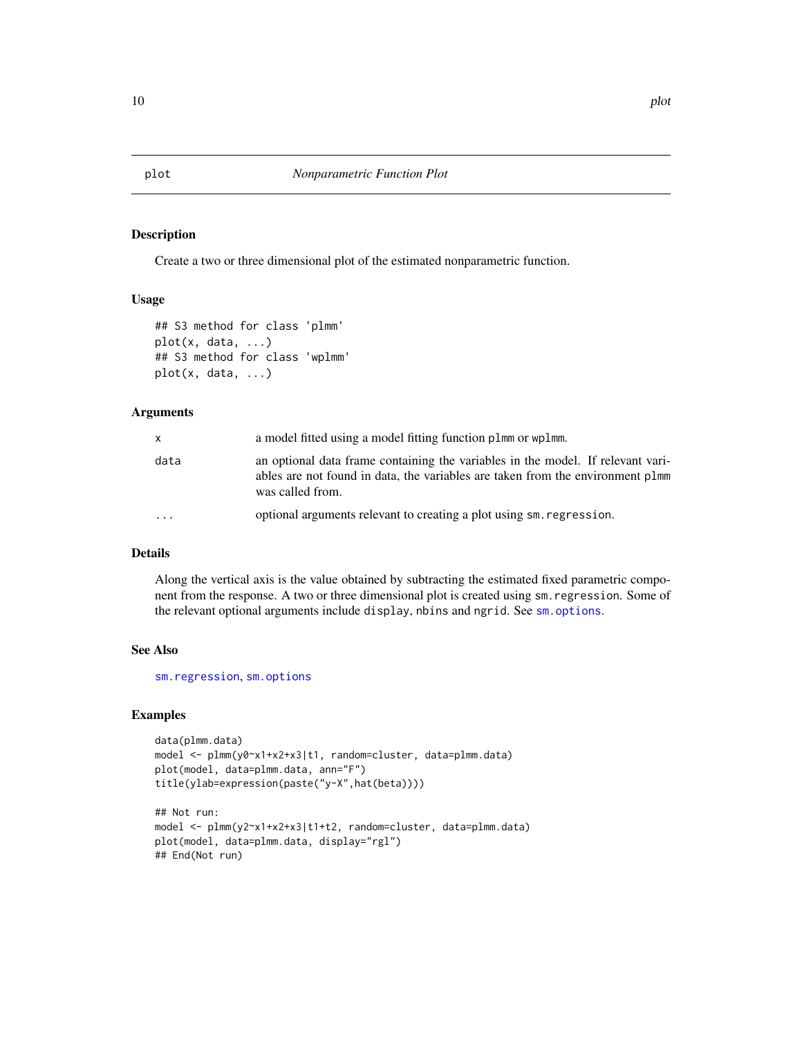Create a two or three dimensional plot of the estimated nonparametric function.

#### Usage

```
## S3 method for class 'plmm'
plot(x, data, ...)
## S3 method for class 'wplmm'
plot(x, data, ...)
```
# Arguments

| X       | a model fitted using a model fitting function plmm or wplmm.                                                                                                                          |
|---------|---------------------------------------------------------------------------------------------------------------------------------------------------------------------------------------|
| data    | an optional data frame containing the variables in the model. If relevant vari-<br>ables are not found in data, the variables are taken from the environment plmm<br>was called from. |
| $\cdot$ | optional arguments relevant to creating a plot using sm. regression.                                                                                                                  |

# Details

Along the vertical axis is the value obtained by subtracting the estimated fixed parametric component from the response. A two or three dimensional plot is created using sm.regression. Some of the relevant optional arguments include display, nbins and ngrid. See [sm.options](#page-0-0).

#### See Also

[sm.regression](#page-0-0), [sm.options](#page-0-0)

```
data(plmm.data)
model <- plmm(y0~x1+x2+x3|t1, random=cluster, data=plmm.data)
plot(model, data=plmm.data, ann="F")
title(ylab=expression(paste("y-X",hat(beta))))
## Not run:
```

```
model <- plmm(y2~x1+x2+x3|t1+t2, random=cluster, data=plmm.data)
plot(model, data=plmm.data, display="rgl")
## End(Not run)
```
<span id="page-9-0"></span>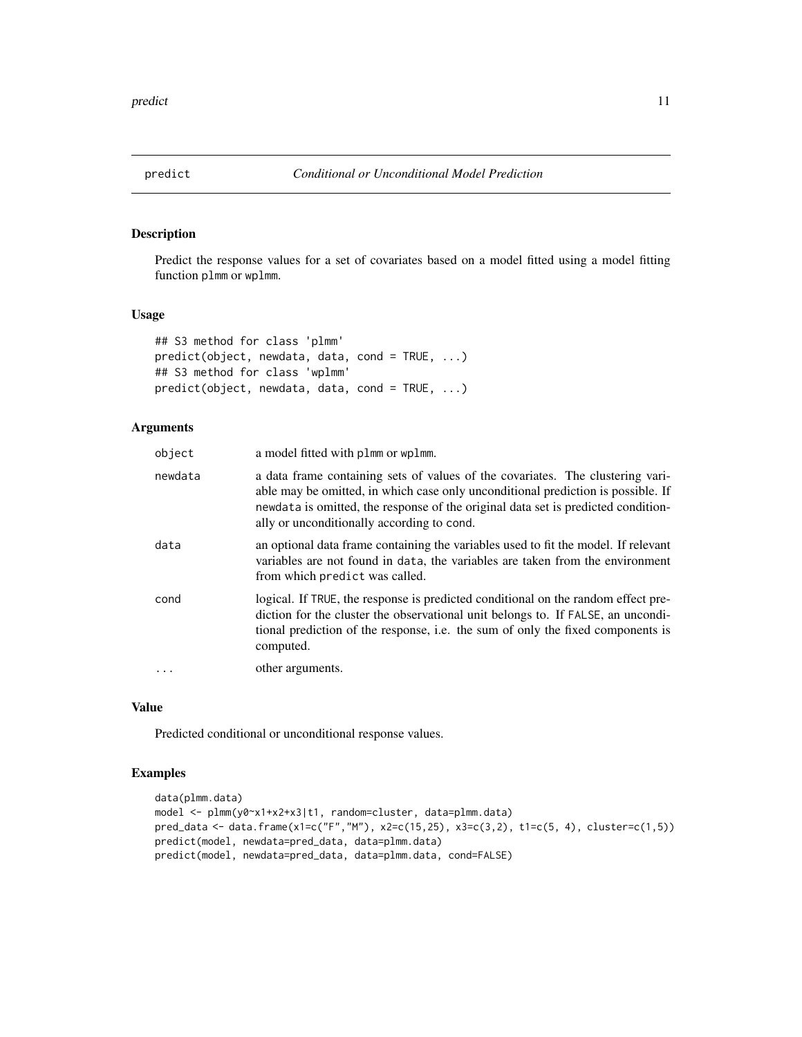<span id="page-10-1"></span><span id="page-10-0"></span>

Predict the response values for a set of covariates based on a model fitted using a model fitting function plmm or wplmm.

#### Usage

```
## S3 method for class 'plmm'
predict(object, newdata, data, cond = TRUE, ...)
## S3 method for class 'wplmm'
predict(object, newdata, data, cond = TRUE, ...)
```
# Arguments

| object   | a model fitted with plmm or wplmm.                                                                                                                                                                                                                                                                    |
|----------|-------------------------------------------------------------------------------------------------------------------------------------------------------------------------------------------------------------------------------------------------------------------------------------------------------|
| newdata  | a data frame containing sets of values of the covariates. The clustering vari-<br>able may be omitted, in which case only unconditional prediction is possible. If<br>newdata is omitted, the response of the original data set is predicted condition-<br>ally or unconditionally according to cond. |
| data     | an optional data frame containing the variables used to fit the model. If relevant<br>variables are not found in data, the variables are taken from the environment<br>from which predict was called.                                                                                                 |
| cond     | logical. If TRUE, the response is predicted conditional on the random effect pre-<br>diction for the cluster the observational unit belongs to. If FALSE, an uncondi-<br>tional prediction of the response, i.e. the sum of only the fixed components is<br>computed.                                 |
| $\cdots$ | other arguments.                                                                                                                                                                                                                                                                                      |

#### Value

Predicted conditional or unconditional response values.

```
data(plmm.data)
model <- plmm(y0~x1+x2+x3|t1, random=cluster, data=plmm.data)
pred_data <- data.frame(x1=c("F","M"), x2=c(15,25), x3=c(3,2), t1=c(5, 4), cluster=c(1,5))
predict(model, newdata=pred_data, data=plmm.data)
predict(model, newdata=pred_data, data=plmm.data, cond=FALSE)
```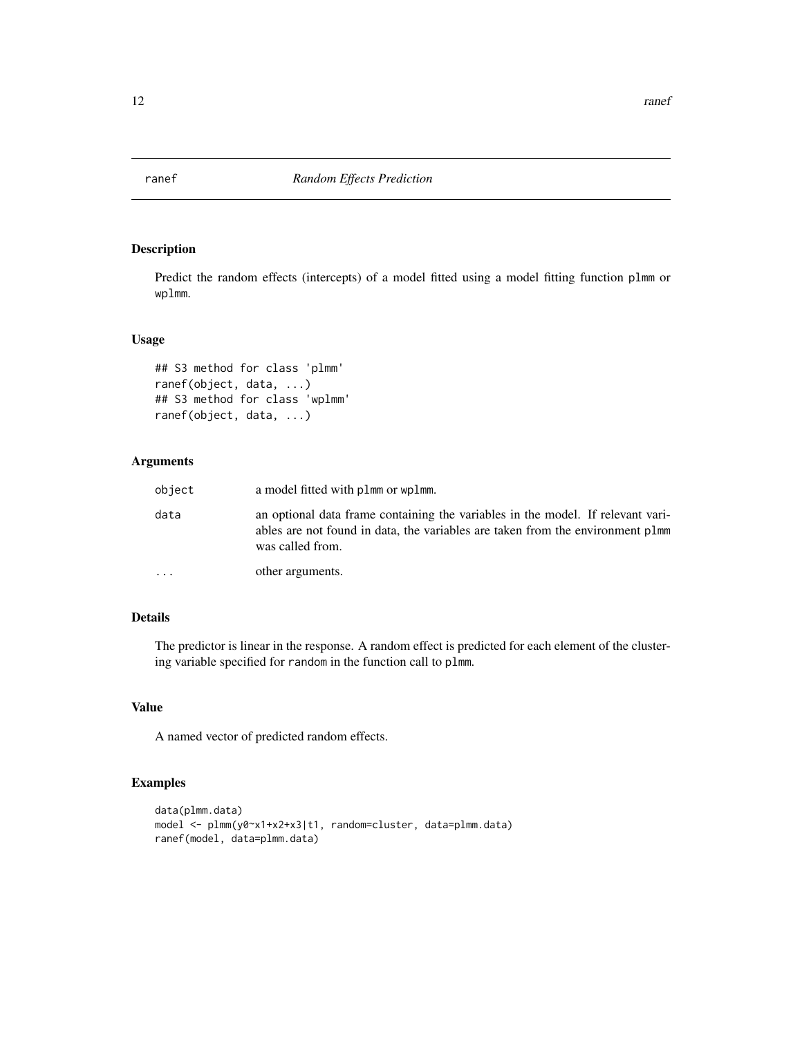<span id="page-11-0"></span>

Predict the random effects (intercepts) of a model fitted using a model fitting function plmm or wplmm.

# Usage

```
## S3 method for class 'plmm'
ranef(object, data, ...)
## S3 method for class 'wplmm'
ranef(object, data, ...)
```
# Arguments

| object | a model fitted with plmm or wplmm.                                                                                                                                                    |
|--------|---------------------------------------------------------------------------------------------------------------------------------------------------------------------------------------|
| data   | an optional data frame containing the variables in the model. If relevant vari-<br>ables are not found in data, the variables are taken from the environment plmm<br>was called from. |
| .      | other arguments.                                                                                                                                                                      |

# Details

The predictor is linear in the response. A random effect is predicted for each element of the clustering variable specified for random in the function call to plmm.

# Value

A named vector of predicted random effects.

```
data(plmm.data)
model <- plmm(y0~x1+x2+x3|t1, random=cluster, data=plmm.data)
ranef(model, data=plmm.data)
```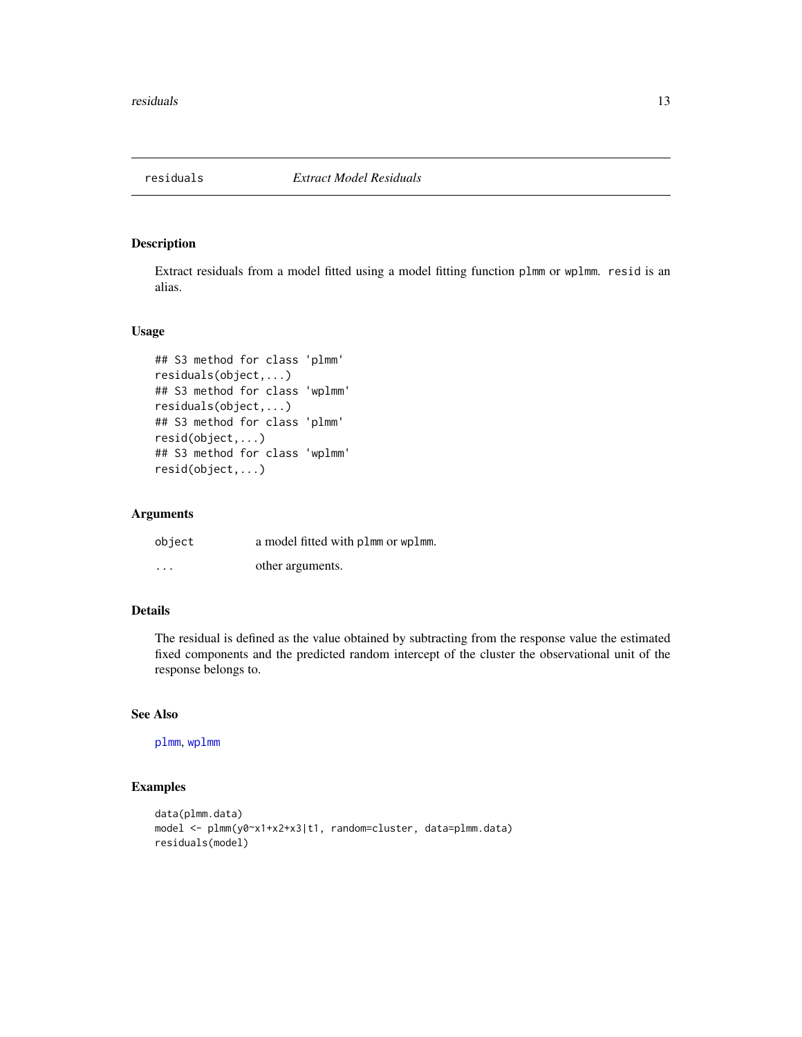<span id="page-12-0"></span>

Extract residuals from a model fitted using a model fitting function plmm or wplmm. resid is an alias.

# Usage

```
## S3 method for class 'plmm'
residuals(object,...)
## S3 method for class 'wplmm'
residuals(object,...)
## S3 method for class 'plmm'
resid(object,...)
## S3 method for class 'wplmm'
resid(object,...)
```
#### Arguments

| object   | a model fitted with plmm or wplmm. |
|----------|------------------------------------|
| $\cdots$ | other arguments.                   |

# Details

The residual is defined as the value obtained by subtracting from the response value the estimated fixed components and the predicted random intercept of the cluster the observational unit of the response belongs to.

# See Also

[plmm](#page-4-1), [wplmm](#page-17-1)

```
data(plmm.data)
model <- plmm(y0~x1+x2+x3|t1, random=cluster, data=plmm.data)
residuals(model)
```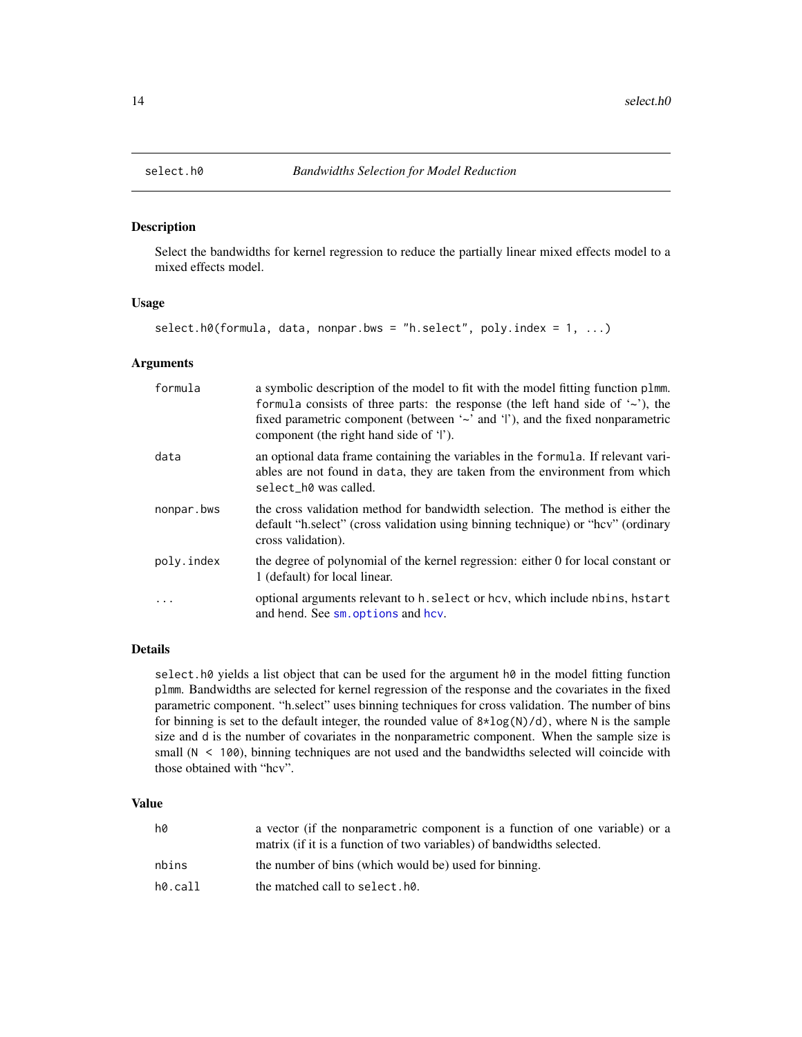<span id="page-13-1"></span><span id="page-13-0"></span>

Select the bandwidths for kernel regression to reduce the partially linear mixed effects model to a mixed effects model.

#### Usage

```
select.h0(formula, data, nonpar.bws = "h.select", poly.index = 1, ...)
```
#### Arguments

| formula    | a symbolic description of the model to fit with the model fitting function plmm.<br>formula consists of three parts: the response (the left hand side of $\sim$ ), the<br>fixed parametric component (between '~' and ' '), and the fixed nonparametric<br>component (the right hand side of 'l'). |
|------------|----------------------------------------------------------------------------------------------------------------------------------------------------------------------------------------------------------------------------------------------------------------------------------------------------|
| data       | an optional data frame containing the variables in the formula. If relevant vari-<br>ables are not found in data, they are taken from the environment from which<br>select h0 was called.                                                                                                          |
| nonpar.bws | the cross validation method for bandwidth selection. The method is either the<br>default "h.select" (cross validation using binning technique) or "hev" (ordinary<br>cross validation).                                                                                                            |
| poly.index | the degree of polynomial of the kernel regression: either 0 for local constant or<br>1 (default) for local linear.                                                                                                                                                                                 |
| .          | optional arguments relevant to h. select or hcv, which include nbins, hstart<br>and hend. See sm. options and hcv.                                                                                                                                                                                 |

# Details

select.h0 yields a list object that can be used for the argument h0 in the model fitting function plmm. Bandwidths are selected for kernel regression of the response and the covariates in the fixed parametric component. "h.select" uses binning techniques for cross validation. The number of bins for binning is set to the default integer, the rounded value of  $8 \times \log(N)/d$ , where N is the sample size and d is the number of covariates in the nonparametric component. When the sample size is small  $(N < 100)$ , binning techniques are not used and the bandwidths selected will coincide with those obtained with "hcv".

| h0      | a vector (if the nonparametric component is a function of one variable) or a<br>matrix (if it is a function of two variables) of bandwidths selected. |
|---------|-------------------------------------------------------------------------------------------------------------------------------------------------------|
| nbins   | the number of bins (which would be) used for binning.                                                                                                 |
| h0.call | the matched call to select. h0.                                                                                                                       |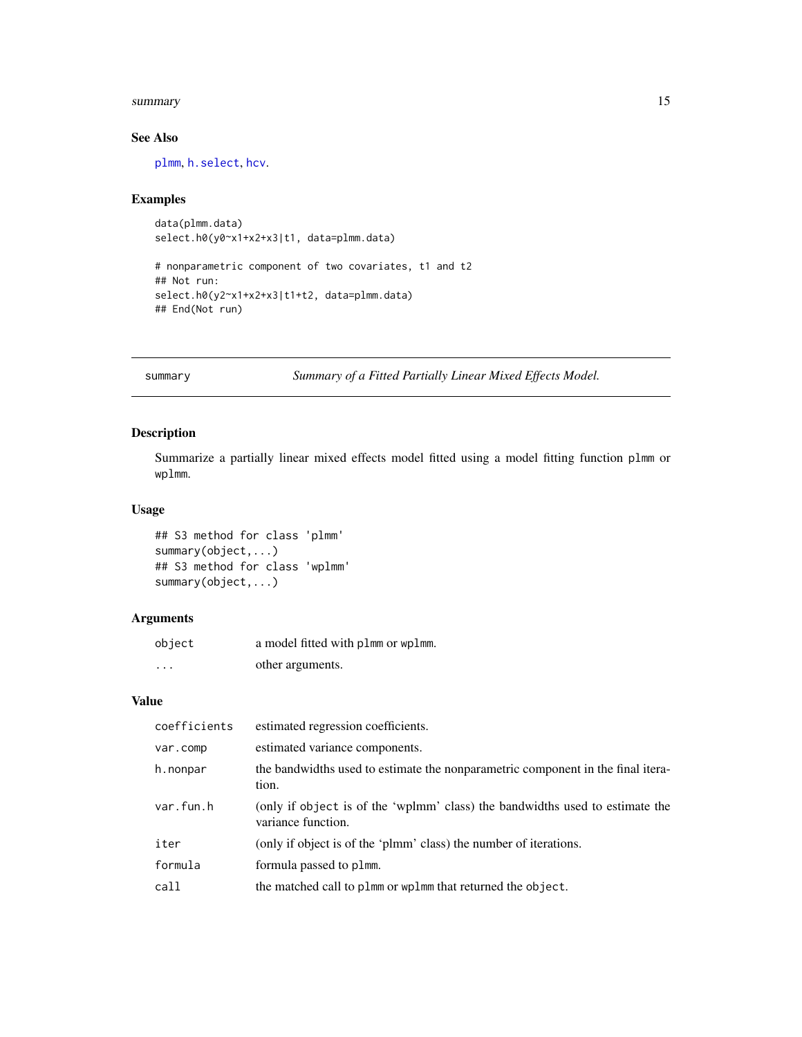#### <span id="page-14-0"></span>summary the contract of the contract of the contract of the contract of the contract of the contract of the contract of the contract of the contract of the contract of the contract of the contract of the contract of the co

# See Also

[plmm](#page-4-1), [h.select](#page-0-0), [hcv](#page-0-0).

# Examples

```
data(plmm.data)
select.h0(y0~x1+x2+x3|t1, data=plmm.data)
```

```
# nonparametric component of two covariates, t1 and t2
## Not run:
select.h0(y2~x1+x2+x3|t1+t2, data=plmm.data)
## End(Not run)
```
summary *Summary of a Fitted Partially Linear Mixed Effects Model.*

# Description

Summarize a partially linear mixed effects model fitted using a model fitting function plmm or wplmm.

# Usage

```
## S3 method for class 'plmm'
summary(object,...)
## S3 method for class 'wplmm'
summary(object,...)
```
# Arguments

| object   | a model fitted with plmm or wplmm. |
|----------|------------------------------------|
| $\cdots$ | other arguments.                   |

| coefficients | estimated regression coefficients.                                                                 |
|--------------|----------------------------------------------------------------------------------------------------|
| var.comp     | estimated variance components.                                                                     |
| h.nonpar     | the bandwidths used to estimate the nonparametric component in the final itera-<br>tion.           |
| var.fun.h    | (only if object is of the 'wplmm' class) the bandwidths used to estimate the<br>variance function. |
| iter         | (only if object is of the 'plmm' class) the number of iterations.                                  |
| formula      | formula passed to plmm.                                                                            |
| call         | the matched call to plmm or wplmm that returned the object.                                        |
|              |                                                                                                    |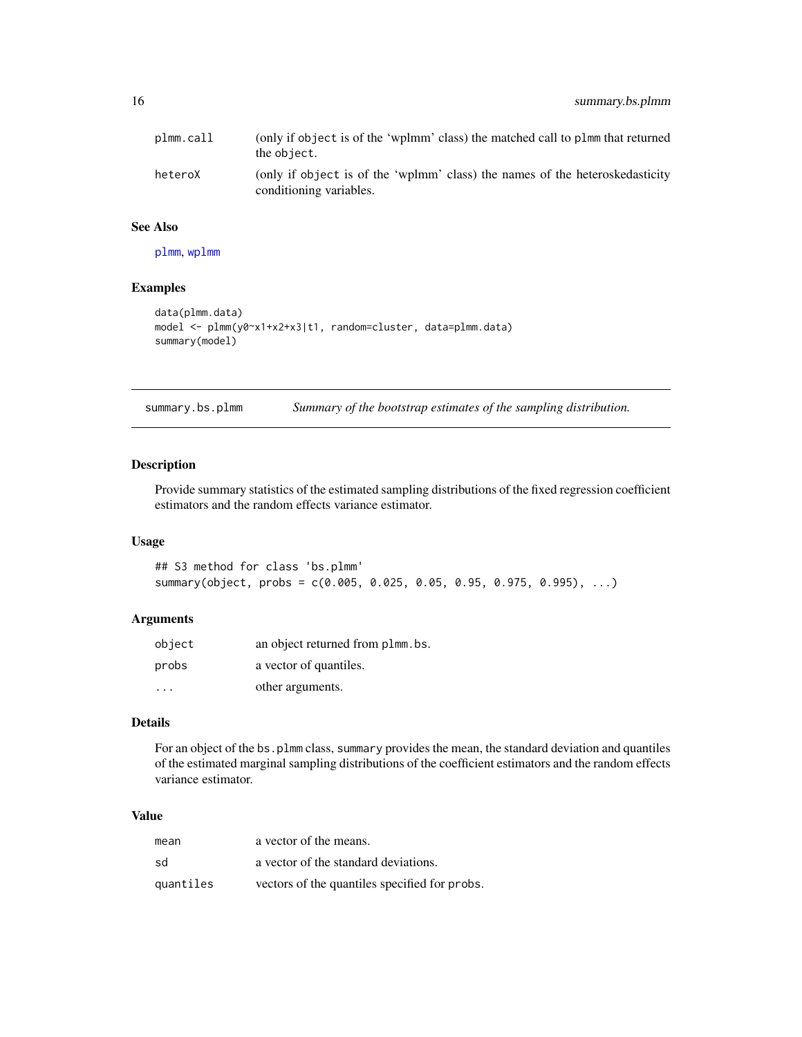<span id="page-15-0"></span>

| plmm.call | (only if object is of the 'wplmm' class) the matched call to plmm that returned<br>the object.          |
|-----------|---------------------------------------------------------------------------------------------------------|
| heteroX   | (only if object is of the 'wplmm' class) the names of the heteroskedasticity<br>conditioning variables. |

# See Also

[plmm](#page-4-1), [wplmm](#page-17-1)

# Examples

```
data(plmm.data)
model <- plmm(y0~x1+x2+x3|t1, random=cluster, data=plmm.data)
summary(model)
```
<span id="page-15-1"></span>summary.bs.plmm *Summary of the bootstrap estimates of the sampling distribution.*

# Description

Provide summary statistics of the estimated sampling distributions of the fixed regression coefficient estimators and the random effects variance estimator.

#### Usage

## S3 method for class 'bs.plmm' summary(object, probs = c(0.005, 0.025, 0.05, 0.95, 0.975, 0.995), ...)

# Arguments

| object   | an object returned from plmm, bs. |
|----------|-----------------------------------|
| probs    | a vector of quantiles.            |
| $\cdots$ | other arguments.                  |

# Details

For an object of the bs.plmm class, summary provides the mean, the standard deviation and quantiles of the estimated marginal sampling distributions of the coefficient estimators and the random effects variance estimator.

| mean      | a vector of the means.                        |
|-----------|-----------------------------------------------|
| sd        | a vector of the standard deviations.          |
| quantiles | vectors of the quantiles specified for probs. |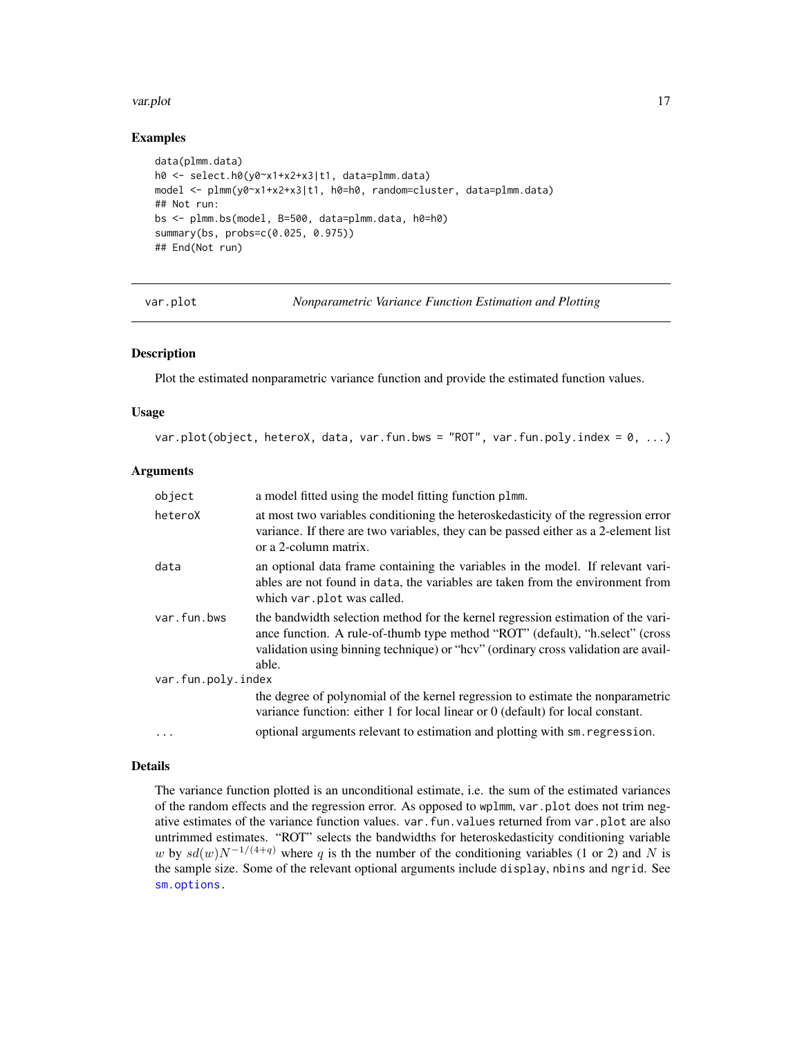#### <span id="page-16-0"></span>var.plot 17

#### Examples

```
data(plmm.data)
h0 <- select.h0(y0~x1+x2+x3|t1, data=plmm.data)
model <- plmm(y0~x1+x2+x3|t1, h0=h0, random=cluster, data=plmm.data)
## Not run:
bs <- plmm.bs(model, B=500, data=plmm.data, h0=h0)
summary(bs, probs=c(0.025, 0.975))
## End(Not run)
```
var.plot *Nonparametric Variance Function Estimation and Plotting*

# Description

Plot the estimated nonparametric variance function and provide the estimated function values.

#### Usage

var.plot(object, heteroX, data, var.fun.bws = "ROT", var.fun.poly.index =  $0, ...$ )

#### Arguments

| object             | a model fitted using the model fitting function plmm.                                                                                                                                                                                                            |  |
|--------------------|------------------------------------------------------------------------------------------------------------------------------------------------------------------------------------------------------------------------------------------------------------------|--|
| heteroX            | at most two variables conditioning the heteroskedasticity of the regression error<br>variance. If there are two variables, they can be passed either as a 2-element list<br>or a 2-column matrix.                                                                |  |
| data               | an optional data frame containing the variables in the model. If relevant vari-<br>ables are not found in data, the variables are taken from the environment from<br>which var.plot was called.                                                                  |  |
| var.fun.bws        | the bandwidth selection method for the kernel regression estimation of the vari-<br>ance function. A rule-of-thumb type method "ROT" (default), "h.select" (cross<br>validation using binning technique) or "hcv" (ordinary cross validation are avail-<br>able. |  |
| var.fun.poly.index |                                                                                                                                                                                                                                                                  |  |
|                    | the degree of polynomial of the kernel regression to estimate the nonparametric<br>variance function: either 1 for local linear or 0 (default) for local constant.                                                                                               |  |
| $\ddotsc$          | optional arguments relevant to estimation and plotting with sm. regression.                                                                                                                                                                                      |  |

#### Details

The variance function plotted is an unconditional estimate, i.e. the sum of the estimated variances of the random effects and the regression error. As opposed to wplmm, var.plot does not trim negative estimates of the variance function values. var.fun.values returned from var.plot are also untrimmed estimates. "ROT" selects the bandwidths for heteroskedasticity conditioning variable w by  $sd(w)N^{-1/(4+q)}$  where q is th the number of the conditioning variables (1 or 2) and N is the sample size. Some of the relevant optional arguments include display, nbins and ngrid. See [sm.options.](#page-0-0)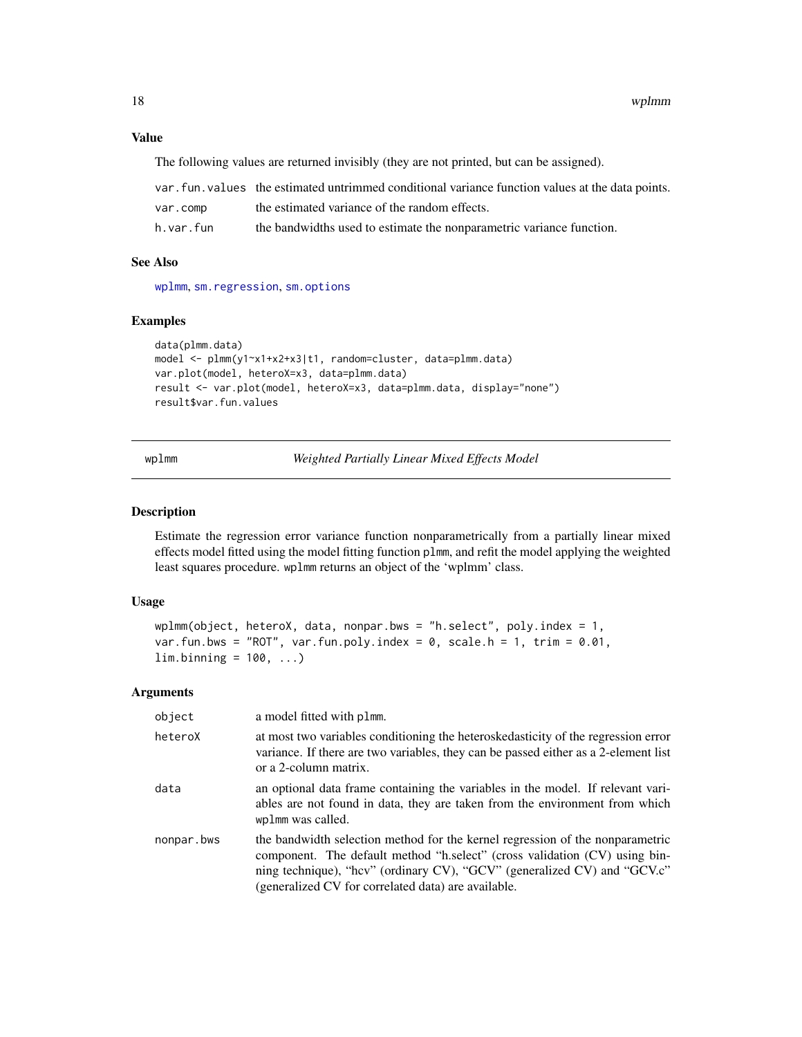#### <span id="page-17-0"></span>Value

The following values are returned invisibly (they are not printed, but can be assigned).

|           | var function values the estimated untrimmed conditional variance function values at the data points. |
|-----------|------------------------------------------------------------------------------------------------------|
| var.comp  | the estimated variance of the random effects.                                                        |
| h.var.fun | the bandwidths used to estimate the nonparametric variance function.                                 |

#### See Also

[wplmm](#page-17-1), [sm.regression](#page-0-0), [sm.options](#page-0-0)

# Examples

```
data(plmm.data)
model <- plmm(y1~x1+x2+x3|t1, random=cluster, data=plmm.data)
var.plot(model, heteroX=x3, data=plmm.data)
result <- var.plot(model, heteroX=x3, data=plmm.data, display="none")
result$var.fun.values
```
<span id="page-17-1"></span>wplmm *Weighted Partially Linear Mixed Effects Model*

# Description

Estimate the regression error variance function nonparametrically from a partially linear mixed effects model fitted using the model fitting function plmm, and refit the model applying the weighted least squares procedure. wplmm returns an object of the 'wplmm' class.

#### Usage

```
wplmm(object, heteroX, data, nonpar.bws = "h.select", poly.index = 1,
var.fun.bws = "ROT", var.fun.poly.index = 0, scale.h = 1, trim = 0.01,
lim. binning = 100, ...
```
# Arguments

| object     | a model fitted with plmm.                                                                                                                                                                                                                                                                      |
|------------|------------------------------------------------------------------------------------------------------------------------------------------------------------------------------------------------------------------------------------------------------------------------------------------------|
| heteroX    | at most two variables conditioning the heteroskedasticity of the regression error<br>variance. If there are two variables, they can be passed either as a 2-element list<br>or a 2-column matrix.                                                                                              |
| data       | an optional data frame containing the variables in the model. If relevant vari-<br>ables are not found in data, they are taken from the environment from which<br>wplmm was called.                                                                                                            |
| nonpar.bws | the bandwidth selection method for the kernel regression of the nonparametric<br>component. The default method "h.select" (cross validation (CV) using bin-<br>ning technique), "hcv" (ordinary CV), "GCV" (generalized CV) and "GCV.c"<br>(generalized CV for correlated data) are available. |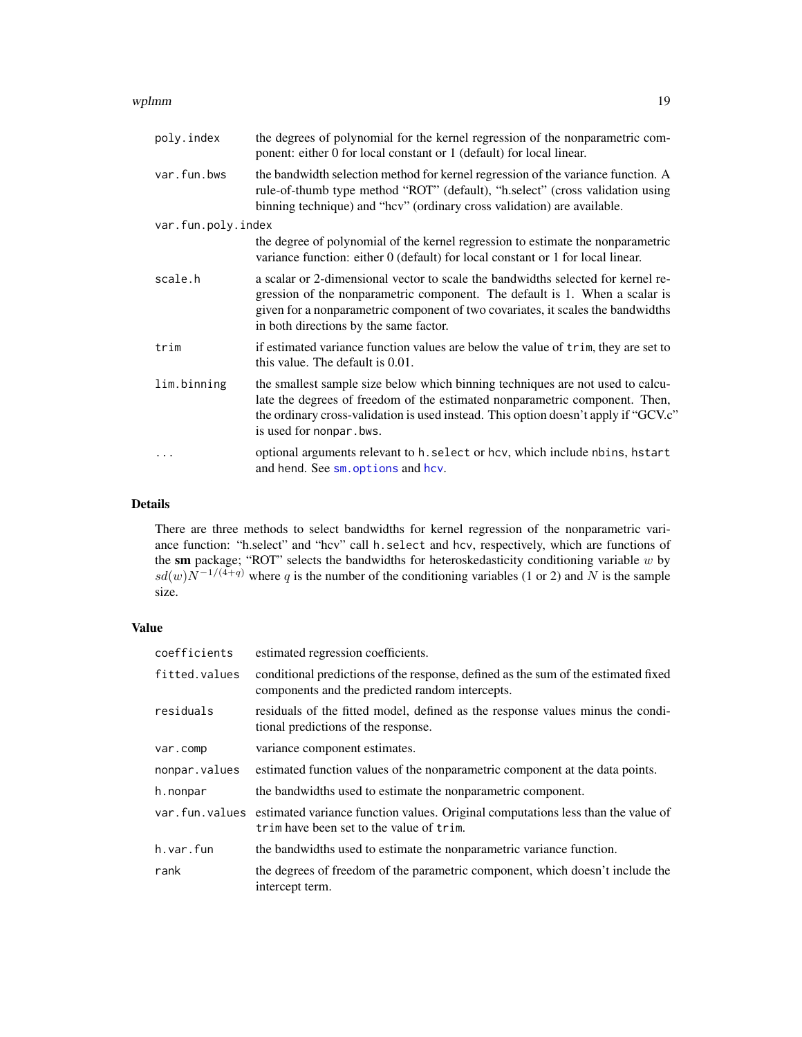#### <span id="page-18-0"></span>wplmm to the contract of the contract of the contract of the contract of the contract of the contract of the contract of the contract of the contract of the contract of the contract of the contract of the contract of the c

| poly.index         | the degrees of polynomial for the kernel regression of the nonparametric com-<br>ponent: either 0 for local constant or 1 (default) for local linear.                                                                                                                                        |
|--------------------|----------------------------------------------------------------------------------------------------------------------------------------------------------------------------------------------------------------------------------------------------------------------------------------------|
| var.fun.bws        | the bandwidth selection method for kernel regression of the variance function. A<br>rule-of-thumb type method "ROT" (default), "h.select" (cross validation using<br>binning technique) and "hcv" (ordinary cross validation) are available.                                                 |
| var.fun.poly.index |                                                                                                                                                                                                                                                                                              |
|                    | the degree of polynomial of the kernel regression to estimate the nonparametric<br>variance function: either 0 (default) for local constant or 1 for local linear.                                                                                                                           |
| scale.h            | a scalar or 2-dimensional vector to scale the bandwidths selected for kernel re-<br>gression of the nonparametric component. The default is 1. When a scalar is<br>given for a nonparametric component of two covariates, it scales the bandwidths<br>in both directions by the same factor. |
| trim               | if estimated variance function values are below the value of trim, they are set to<br>this value. The default is 0.01.                                                                                                                                                                       |
| lim.binning        | the smallest sample size below which binning techniques are not used to calcu-<br>late the degrees of freedom of the estimated nonparametric component. Then,<br>the ordinary cross-validation is used instead. This option doesn't apply if "GCV.c"<br>is used for nonpar. bws.             |
|                    | optional arguments relevant to h. select or hcv, which include nbins, hstart<br>and hend. See sm. options and hcv.                                                                                                                                                                           |

# Details

There are three methods to select bandwidths for kernel regression of the nonparametric variance function: "h.select" and "hcv" call h.select and hcv, respectively, which are functions of the sm package; "ROT" selects the bandwidths for heteroskedasticity conditioning variable  $w$  by  $sd(w)N^{-1/(4+q)}$  where q is the number of the conditioning variables (1 or 2) and N is the sample size.

| coefficients  | estimated regression coefficients.                                                                                                           |
|---------------|----------------------------------------------------------------------------------------------------------------------------------------------|
| fitted.values | conditional predictions of the response, defined as the sum of the estimated fixed<br>components and the predicted random intercepts.        |
| residuals     | residuals of the fitted model, defined as the response values minus the condi-<br>tional predictions of the response.                        |
| var.comp      | variance component estimates.                                                                                                                |
| nonpar.values | estimated function values of the nonparametric component at the data points.                                                                 |
| h.nonpar      | the bandwidths used to estimate the nonparametric component.                                                                                 |
|               | var fun. values estimated variance function values. Original computations less than the value of<br>trim have been set to the value of trim. |
| h.var.fun     | the bandwidths used to estimate the nonparametric variance function.                                                                         |
| rank          | the degrees of freedom of the parametric component, which doesn't include the<br>intercept term.                                             |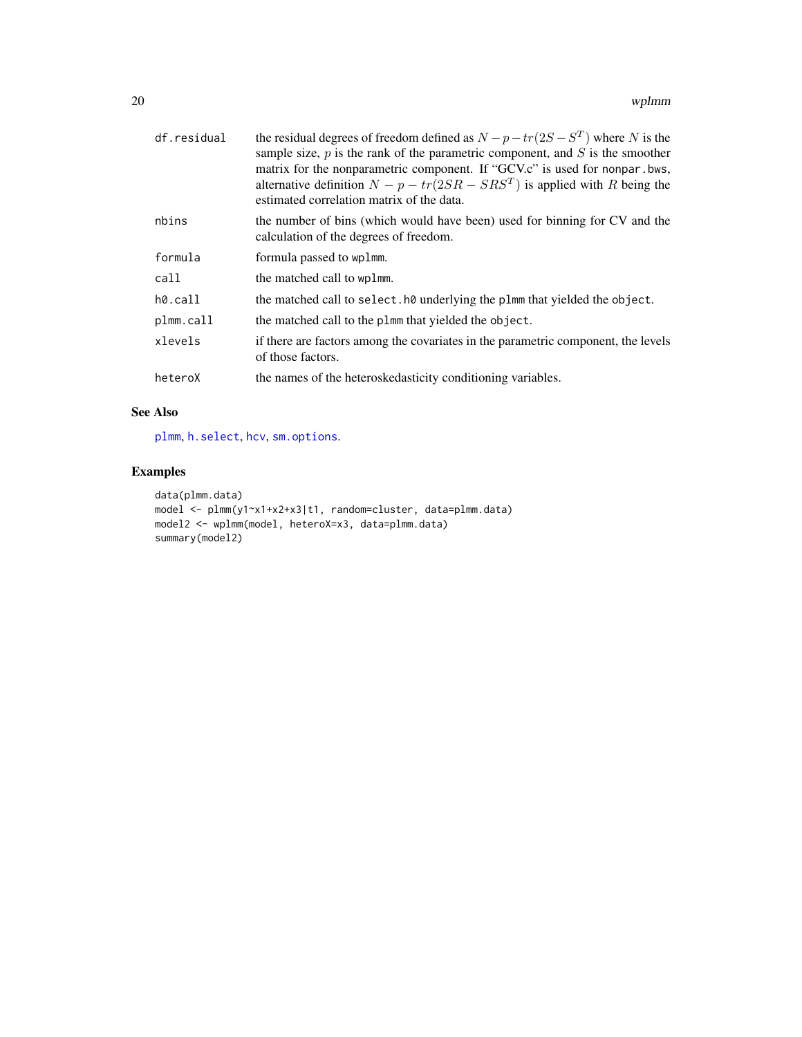<span id="page-19-0"></span>

| df.residual | the residual degrees of freedom defined as $N - p - tr(2S - S^T)$ where N is the<br>sample size, $p$ is the rank of the parametric component, and $S$ is the smoother<br>matrix for the nonparametric component. If "GCV.c" is used for nonpar .bws,<br>alternative definition $N - p - tr(2SR - SRS^{T})$ is applied with R being the<br>estimated correlation matrix of the data. |
|-------------|-------------------------------------------------------------------------------------------------------------------------------------------------------------------------------------------------------------------------------------------------------------------------------------------------------------------------------------------------------------------------------------|
| nbins       | the number of bins (which would have been) used for binning for CV and the<br>calculation of the degrees of freedom.                                                                                                                                                                                                                                                                |
| formula     | formula passed to wplmm.                                                                                                                                                                                                                                                                                                                                                            |
| call        | the matched call to wplmm.                                                                                                                                                                                                                                                                                                                                                          |
| h0.call     | the matched call to select. h0 underlying the plmm that yielded the object.                                                                                                                                                                                                                                                                                                         |
| plmm.call   | the matched call to the plmm that yielded the object.                                                                                                                                                                                                                                                                                                                               |
| xlevels     | if there are factors among the covariates in the parametric component, the levels<br>of those factors.                                                                                                                                                                                                                                                                              |
| heteroX     | the names of the heteroskedasticity conditioning variables.                                                                                                                                                                                                                                                                                                                         |

# See Also

[plmm](#page-4-1), [h.select](#page-0-0), [hcv](#page-0-0), [sm.options](#page-0-0).

```
data(plmm.data)
model <- plmm(y1~x1+x2+x3|t1, random=cluster, data=plmm.data)
model2 <- wplmm(model, heteroX=x3, data=plmm.data)
summary(model2)
```